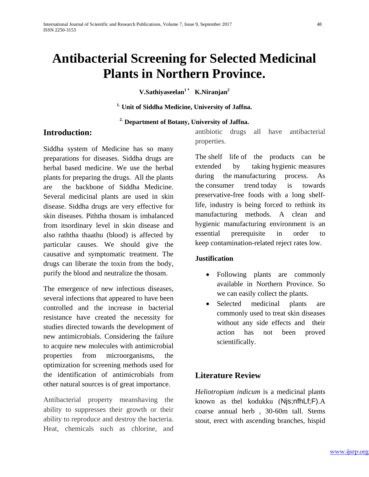# **Antibacterial Screening for Selected Medicinal Plants in Northern Province.**

**V.Sathiyaseelan1 \* K.Niranjan2**

**1. Unit of Siddha Medicine, University of Jaffna.**

#### **2. Department of Botany, University of Jaffna.**

### **Introduction:**

Siddha system of Medicine has so many preparations for diseases. Siddha drugs are herbal based medicine. We use the herbal plants for preparing the drugs. All the plants are the backbone of Siddha Medicine. Several medicinal plants are used in skin disease. Siddha drugs are very effective for skin diseases. Piththa thosam is imbalanced from itsordinary level in skin disease and also raththa thaathu (blood) is affected by particular causes. We should give the causative and symptomatic treatment. The drugs can liberate the toxin from the body, purify the blood and neutralize the thosam.

The emergence of new infectious diseases, several infections that appeared to have been controlled and the increase in bacterial resistance have created the necessity for studies directed towards the development of new antimicrobials. Considering the failure to acquire new molecules with antimicrobial properties from microorganisms, the optimization for screening methods used for the identification of antimicrobials from other natural sources is of great importance.

Antibacterial property meanshaving the ability to suppresses their growth or their ability to reproduce and destroy the bacteria. Heat, chemicals such as chlorine, and antibiotic drugs all have antibacterial properties.

The shelf life of the products can be extended by taking hygienic measures during the manufacturing process. As the consumer trend today is towards preservative-free foods with a long shelflife, industry is being forced to rethink its manufacturing methods. A clean and hygienic manufacturing environment is an essential prerequisite in order to keep contamination-related reject rates low.

#### **Justification**

- Following plants are commonly available in Northern Province. So we can easily collect the plants.
- Selected medicinal plants are commonly used to treat skin diseases without any side effects and their action has not been proved scientifically.

### **Literature Review**

*Heliotropium indicum* is a medicinal plants known as thel kodukku (Njs;nfhLf;F).A coarse annual herb , 30-60m tall. Stems stout, erect with ascending branches, hispid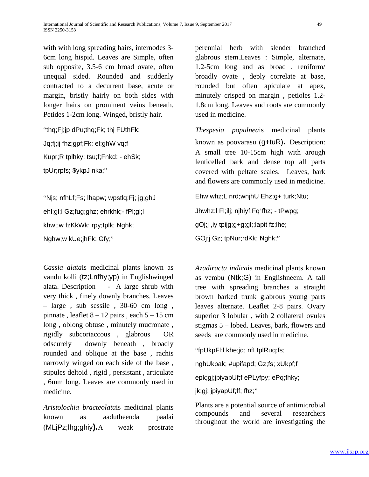with with long spreading hairs, internodes 3- 6cm long hispid. Leaves are Simple, often sub opposite, 3.5-6 cm broad ovate, often unequal sided. Rounded and suddenly contracted to a decurrent base, acute or margin, bristly hairly on both sides with longer hairs on prominent veins beneath. Petides 1-2cm long. Winged, bristly hair.

"thq;Fj;jp dPu;thq;Fk; thj FUthFk; Jq;fj;ij fhz;gpf;Fk; el;ghW vq;f Kupr;R tplhky; tsu;f;Fnkd; - ehSk; tpUr;rpfs; \$ykpJ nka;"

"Njs; nfhLf;Fs; lhapw; wpstlq;Fj; jg;ghJ ehl;gl;l Gz;fug;ghz; ehrkhk;- fPl;gl;l khw;;w fzKkWk; rpy;tplk; Nghk; Nghw;w kUe;jhFk; Gfy;"

*Cassia alata*is medicinal plants known as vandu kolli (tz;Lnfhy;yp) in Englishwinged alata. Description - A large shrub with very thick , finely downly branches. Leaves  $-$  large, sub sessile, 30-60 cm long, pinnate, leaflet  $8 - 12$  pairs, each  $5 - 15$  cm long, oblong obtuse, minutely mucronate, rigidly subcoriaccous , glabrous OR odscurely downly beneath , broadly rounded and oblique at the base , rachis narrowly winged on each side of the base , stipules deltoid , rigid , persistant , articulate , 6mm long. Leaves are commonly used in medicine.

*Aristolochia bracteolata*is medicinal plants known as aadutheenda paalai (MLjPz;lhg;ghiy**).**A weak prostrate perennial herb with slender branched glabrous stem.Leaves : Simple, alternate, 1.2-5cm long and as broad , reniform/ broadly ovate , deply correlate at base, rounded but often apiculate at apex, minutely crisped on margin , petioles 1.2- 1.8cm long. Leaves and roots are commonly used in medicine.

*Thespesia populnea*is medicinal plants known as poovarasu (g+tuR)**.** Description: A small tree 10-15cm high with arough lenticelled bark and dense top all parts covered with peltate scales. Leaves, bark and flowers are commonly used in medicine.

Ehw;whz;L nrd;wnjhU Ehz;g+ turk;Ntu; Jhwhz;l Fl;ilj; njhiyf;Fq'fhz; - tPwpg; gOj;j ,iy tpijg;g+g;gl;;lapit fz;lhe; GOj;j Gz; tpNur;rdKk; Nghk;"

*Azadiracta indica*is medicinal plants known as vembu (Ntk;G) in Englishneem. A tall tree with spreading branches a straight brown barked trunk glabrous young parts leaves alternate. Leaflet 2-8 pairs. Ovary superior 3 lobular , with 2 collateral ovules stigmas 5 – lobed. Leaves, bark, flowers and seeds are commonly used in medicine.

"fpUkpFl;l khe;jq; nfLtplRuq;fs;

nghUkpak; #upifapd; Gz;fs; xUkpf;f

epk;gj;jpiyapUf;f ePLyfpy; ePq;fhky;

jk;gj; jpiyapUf;ff; fhz;"

Plants are a potential source of antimicrobial compounds and several researchers throughout the world are investigating the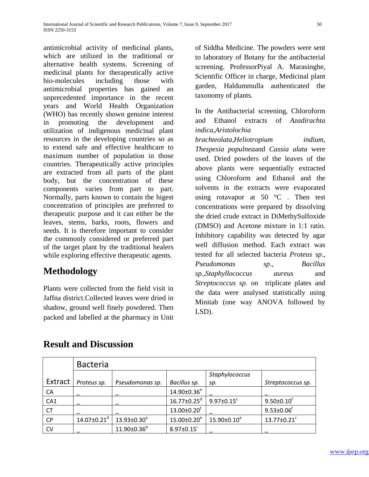antimicrobial activity of medicinal plants, which are utilized in the traditional or alternative health systems. Screening of medicinal plants for therapeutically active bio-molecules including those with antimicrobial properties has gained an unprecedented importance in the recent years and World Health Organization (WHO) has recently shown genuine interest in promoting the development and utilization of indigenous medicinal plant resources in the developing countries so as to extend safe and effective healthcare to maximum number of population in those countries. Therapeutically active principles are extracted from all parts of the plant body, but the concentration of these components varies from part to part. Normally, parts known to contain the higest concentration of principles are preferred to therapeutic purpose and it can either be the leaves, stems, barks, roots, flowers and seeds. It is therefore important to consider the commonly considered or preferred part of the target plant by the traditional healers while exploring effective therapeutic agents.

# **Methodology**

Plants were collected from the field visit in Jaffna district.Collected leaves were dried in shadow, ground well finely powdered. Then packed and labelled at the pharmacy in Unit

of Siddha Medicine. The powders were sent to laboratory of Botany for the antibacterial screening. ProfessorPiyal A. Marasinghe, Scientific Officer in charge, Medicinal plant garden, Haldummulla authenticated the taxonomy of plants.

In the Antibacterial screening, Chloroform and Ethanol extracts of *Azadirachta indica*,*Aristolochia* 

*brachteolata*,*Heliotropium indium*, *Thespesia populnea*and *Cassia alata* were used. Dried powders of the leaves of the above plants were sequentially extracted using Chloroform and Ethanol and the solvents in the extracts were evaporated using rotavapor at 50  $\degree$ C. Then test concentrations were prepared by dissolving the dried crude extract in DiMethySulfoxide (DMSO) and Acetone mixture in 1:1 ratio. Inhibitory capability was detected by agar well diffusion method. Each extract was tested for all selected bacteria *Proteus sp*., *Pseudomonas sp*., *Bacillus sp.,Staphyllococcus aureus* and *Streptococcus sp.* on triplicate plates and the data were analysed statistically using Minitab (one way ANOVA followed by LSD).

|           | <b>Bacteria</b>               |                          |                               |                              |                               |  |  |  |
|-----------|-------------------------------|--------------------------|-------------------------------|------------------------------|-------------------------------|--|--|--|
|           |                               |                          |                               | Staphylococcus               |                               |  |  |  |
| Extract   | Proteus sp.                   | Pseudomonas sp.          | Bacillus sp.                  | sp.                          | Streptococcus sp.             |  |  |  |
| CA        |                               |                          | 14.90±0.36 <sup>e</sup>       |                              |                               |  |  |  |
| CA1       |                               |                          | $16.77 \pm 0.25$ <sup>d</sup> | $9.97 \pm 0.15$ <sup>c</sup> | $9.50 \pm 0.10$ <sup>f</sup>  |  |  |  |
| <b>CT</b> |                               |                          | $13.00 \pm 0.20$ <sup>f</sup> |                              | $9.53 \pm 0.06$ <sup>f</sup>  |  |  |  |
| <b>CP</b> | $14.07 \pm 0.21$ <sup>d</sup> | $13.93 \pm 0.30^{\circ}$ | $15.00 \pm 0.20^e$            | $15.90 \pm 0.10^a$           | $13.77 \pm 0.21$ <sup>c</sup> |  |  |  |
| <b>CV</b> |                               | $11.90 \pm 0.36^b$       | $8.97 \pm 0.15$ <sup>i</sup>  |                              |                               |  |  |  |

# **Result and Discussion**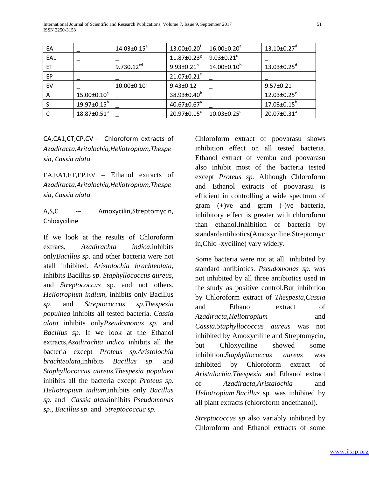International Journal of Scientific and Research Publications, Volume 7, Issue 9, September 2017 51 ISSN 2250-3153

| EA  |                               | $14.03 \pm 0.15^{\circ}$ | $13.00 \pm 0.20$ <sup>†</sup> | $16.00 \pm 0.20$ <sup>a</sup> | $13.10\pm0.27$ <sup>d</sup>   |
|-----|-------------------------------|--------------------------|-------------------------------|-------------------------------|-------------------------------|
| EA1 |                               |                          | $11.87 \pm 0.23$ <sup>g</sup> | $9.03 \pm 0.21$ <sup>c</sup>  |                               |
| ET  |                               | $9.730.12^{cd}$          | $9.93 \pm 0.21$ <sup>h</sup>  | $14.00 \pm 0.10^6$            | $13.03 \pm 0.25$ <sup>d</sup> |
| EP  |                               |                          | $21.07 \pm 0.21$ <sup>c</sup> |                               |                               |
| EV  |                               | $10.00 \pm 0.10^c$       | $9.43 \pm 0.12$               |                               | $9.57 \pm 0.21$ <sup>†</sup>  |
| A   | $15.00 \pm 0.10^c$            |                          | $38.93 \pm 0.40^b$            |                               | $12.03 \pm 0.25$ <sup>e</sup> |
|     | $19.97 \pm 0.15^\mathrm{b}$   |                          | $40.67 \pm 0.67$ <sup>a</sup> |                               | $17.03 \pm 0.15^{\circ}$      |
|     | $18.87 \pm 0.51$ <sup>a</sup> |                          | $20.97 \pm 0.15$ <sup>c</sup> | $10.03 \pm 0.25$ <sup>c</sup> | $20.07 \pm 0.31^a$            |

CA,CA1,CT,CP,CV - Chloroform extracts of *Azadiracta,Aritalochia,Heliotropium,Thespe sia*, *Cassia alata*

EA,EA1,ET,EP,EV – Ethanol extracts of *Azadiracta,Aritalochia,Heliotropium,Thespe sia*, *Cassia alata*

A,S,C -- Amoxycilin,Streptomycin, Chloxyciline

If we look at the results of Chloroform extracs, *Azadirachta indica*,inhibits only*Bacillus sp*. and other bacteria were not atall inhibited. *Aristolochia brachteolata*, inhibits Bacillus *sp*. *Staphyllococcus aureus*, and *Streptococcus* sp. and not others. *Heliotropium indium*, inhibits only Bacillus *sp*. and *Streptococcus sp.Thespesia populnea* inhibits all tested bacteria. *Cassia alata* inhibits only*Pseudomonas sp*. and *Bacillus sp.* If we look at the Ethanol extracts,*Azadirachta indica* inhibits all the bacteria except *Proteus sp.Aristolochia brachteolata*,inhibits *Bacillus sp*. and *Staphyllococcus aureus.Thespesia populnea* inhibits all the bacteria except *Proteus sp. Heliotropium indium*,inhibits only *Bacillus sp.* and *Cassia alata*inhibits *Pseudomonas sp*., *Bacillus sp*. and *Streptococcuc sp.*

Chloroform extract of poovarasu shows inhibition effect on all tested bacteria. Ethanol extract of vembu and poovarasu also inhibit most of the bacteria tested except *Proteus sp.* Although Chloroform and Ethanol extracts of poovarasu is efficient in controlling a wide spectrum of gram (+)ve and gram (-)ve bacteria, inhibitory effect is greater with chloroform than ethanol.Inhibition of bacteria by standardantibiotics(Amoxyciline,Streptomyc in,Chlo -xyciline) vary widely.

Some bacteria were not at all inhibited by standard antibiotics. *Pseudomonas sp*. was not inhibited by all three antibiotics used in the study as positive control.But inhibition by Chloroform extract of *Thespesia,Cassia*  and Ethanol extract of *Azadiracta,Heliotropium* and *Cassia.Staphyllococcus aureus* was not inhibited by Amoxyciline and Streptomycin, but Chloxyciline showed some inhibition.*Staphyllococcus aureus* was inhibited by Chloroform extract of *Aristalochia,Thespesia* and Ethanol extract of *Azadiracta,Aristalochia* and *Heliotropium*.*Bacillus* sp. was inhibited by all plant extracts (chloroform andethanol).

*Streptococcus sp* also variably inhibited by Chloroform and Ethanol extracts of some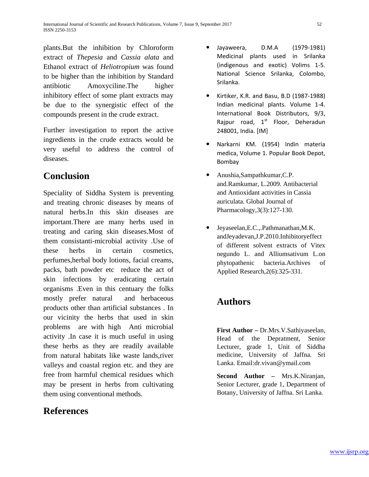plants.But the inhibition by Chloroform extract of *Thepesia* and *Cassia alata* and Ethanol extract of *Heliotropium* was found to be higher than the inhibition by Standard antibiotic Amoxyciline.The higher inhibitory effect of some plant extracts may be due to the synergistic effect of the compounds present in the crude extract.

Further investigation to report the active ingredients in the crude extracts would be very useful to address the control of diseases.

## **Conclusion**

Speciality of Siddha System is preventing and treating chronic diseases by means of natural herbs.In this skin diseases are important.There are many herbs used in treating and caring skin diseases.Most of them consistanti-microbial activity .Use of these herbs in certain cosmetics, perfumes,herbal body lotions, facial creams, packs, bath powder etc reduce the act of skin infections by eradicating certain organisms .Even in this centuary the folks mostly prefer natural and herbaceous products other than artificial substances . In our vicinity the herbs that used in skin problems are with high Anti microbial activity .In case it is much useful in using these herbs as they are readily available from natural habitats like waste lands,river valleys and coastal region etc. and they are free from harmful chemical residues which may be present in herbs from cultivating them using conventional methods.

### **References**

- Jayaweera, D.M.A (1979-1981) Medicinal plants used in Srilanka (indigenous and exotic) Volims 1-5. National Science Srilanka, Colombo, Srilanka.
- Kirtiker, K.R. and Basu, B.D (1987-1988) Indian medicinal plants. Volume 1-4. International Book Distributors, 9/3, Rajpur road,  $1<sup>st</sup>$  Floor, Deheradun 248001, India. [IM]
- Narkarni KM. (1954) Indin materia medica, Volume 1. Popular Book Depot, Bombay
- Anushia,Sampathkumar,C.P. and.Ramkumar, L.2009. Antibacterial and Antioxidant activities in Cassia auriculata. Global Journal of Pharmacology,3(3):127-130.
- Jeyaseelan,E.C.,.Pathmanathan,M.K. andJeyadevan,J.P.2010.Inhibitoryeffect of different solvent extracts of Vitex negundo L. and Alliumsativum L.on phytopathenic bacteria.Archives of Applied Research,2(6):325-331.

### **Authors**

**First Author –** Dr.Mrs.V.Sathiyaseelan, Head of the Depratment, Senior Lecturer, grade 1, Unit of Siddha medicine, University of Jaffna. Sri Lanka. Email:dr.vivan@ymail.com

**Second Author –** Mrs.K.Niranjan, Senior Lecturer, grade 1, Department of Botany, University of Jaffna. Sri Lanka.